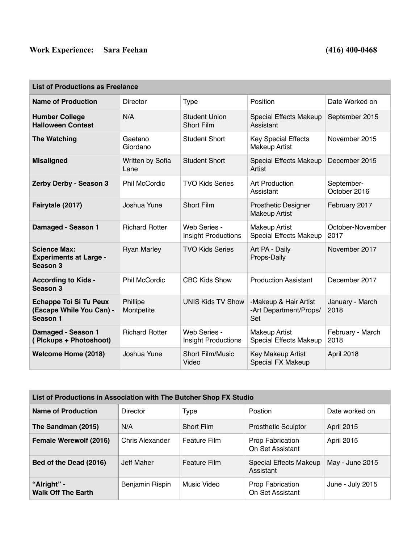## Work Experience: Sara Feehan (416) 400-0468

T.

| <b>List of Productions as Freelance</b>                               |                          |                                            |                                                        |                            |  |  |
|-----------------------------------------------------------------------|--------------------------|--------------------------------------------|--------------------------------------------------------|----------------------------|--|--|
| <b>Name of Production</b>                                             | <b>Director</b>          | <b>Type</b>                                | Position                                               | Date Worked on             |  |  |
| <b>Humber College</b><br><b>Halloween Contest</b>                     | N/A                      | <b>Student Union</b><br><b>Short Film</b>  | <b>Special Effects Makeup</b><br>Assistant             | September 2015             |  |  |
| <b>The Watching</b>                                                   | Gaetano<br>Giordano      | <b>Student Short</b>                       | <b>Key Special Effects</b><br><b>Makeup Artist</b>     | November 2015              |  |  |
| <b>Misaligned</b>                                                     | Written by Sofia<br>Lane | <b>Student Short</b>                       | <b>Special Effects Makeup</b><br>Artist                | December 2015              |  |  |
| Zerby Derby - Season 3                                                | <b>Phil McCordic</b>     | <b>TVO Kids Series</b>                     | <b>Art Production</b><br>Assistant                     | September-<br>October 2016 |  |  |
| Fairytale (2017)                                                      | Joshua Yune              | <b>Short Film</b>                          | Prosthetic Designer<br><b>Makeup Artist</b>            | February 2017              |  |  |
| Damaged - Season 1                                                    | <b>Richard Rotter</b>    | Web Series -<br><b>Insight Productions</b> | <b>Makeup Artist</b><br>Special Effects Makeup         | October-November<br>2017   |  |  |
| <b>Science Max:</b><br><b>Experiments at Large -</b><br>Season 3      | <b>Ryan Marley</b>       | <b>TVO Kids Series</b>                     | Art PA - Daily<br>Props-Daily                          | November 2017              |  |  |
| <b>According to Kids -</b><br>Season 3                                | <b>Phil McCordic</b>     | <b>CBC Kids Show</b>                       | <b>Production Assistant</b>                            | December 2017              |  |  |
| <b>Echappe Toi Si Tu Peux</b><br>(Escape While You Can) -<br>Season 1 | Phillipe<br>Montpetite   | <b>UNIS Kids TV Show</b>                   | -Makeup & Hair Artist<br>-Art Department/Props/<br>Set | January - March<br>2018    |  |  |
| Damaged - Season 1<br>(Plckups + Photoshoot)                          | <b>Richard Rotter</b>    | Web Series -<br>Insight Productions        | <b>Makeup Artist</b><br>Special Effects Makeup         | February - March<br>2018   |  |  |
| Welcome Home (2018)                                                   | Joshua Yune              | <b>Short Film/Music</b><br>Video           | Key Makeup Artist<br><b>Special FX Makeup</b>          | April 2018                 |  |  |

| List of Productions in Association with The Butcher Shop FX Studio |                        |                     |                                      |                   |  |
|--------------------------------------------------------------------|------------------------|---------------------|--------------------------------------|-------------------|--|
| <b>Name of Production</b>                                          | Director               | <b>Type</b>         | Postion                              | Date worked on    |  |
| The Sandman (2015)                                                 | N/A                    | <b>Short Film</b>   | <b>Prosthetic Sculptor</b>           | April 2015        |  |
| <b>Female Werewolf (2016)</b>                                      | <b>Chris Alexander</b> | <b>Feature Film</b> | Prop Fabrication<br>On Set Assistant | <b>April 2015</b> |  |
| Bed of the Dead (2016)                                             | Jeff Maher             | <b>Feature Film</b> | Special Effects Makeup<br>Assistant  | May - June 2015   |  |
| "Alright" -<br><b>Walk Off The Earth</b>                           | Benjamin Rispin        | Music Video         | Prop Fabrication<br>On Set Assistant | June - July 2015  |  |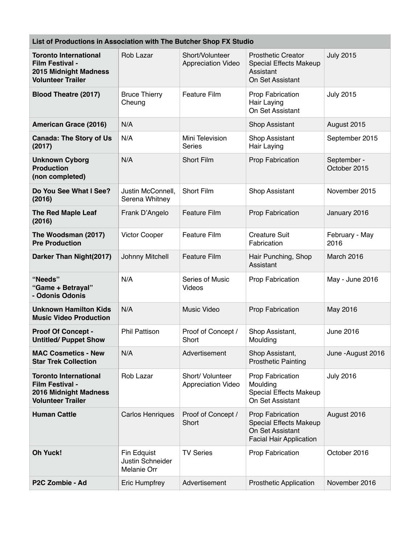| List of Productions in Association with The Butcher Shop FX Studio                                   |                                     |                                               |                                                                                                         |                             |  |
|------------------------------------------------------------------------------------------------------|-------------------------------------|-----------------------------------------------|---------------------------------------------------------------------------------------------------------|-----------------------------|--|
| <b>Toronto International</b><br>Film Festival -<br>2015 Midnight Madness<br><b>Volunteer Trailer</b> | Rob Lazar                           | Short/Volunteer<br><b>Appreciation Video</b>  | <b>Prosthetic Creator</b><br>Special Effects Makeup<br>Assistant<br>On Set Assistant                    | <b>July 2015</b>            |  |
| <b>Blood Theatre (2017)</b>                                                                          | <b>Bruce Thierry</b><br>Cheung      | <b>Feature Film</b>                           | Prop Fabrication<br>Hair Laying<br>On Set Assistant                                                     | <b>July 2015</b>            |  |
| <b>American Grace (2016)</b>                                                                         | N/A                                 |                                               | <b>Shop Assistant</b>                                                                                   | August 2015                 |  |
| <b>Canada: The Story of Us</b><br>(2017)                                                             | N/A                                 | Mini Television<br><b>Series</b>              | Shop Assistant<br>Hair Laying                                                                           | September 2015              |  |
| <b>Unknown Cyborg</b><br><b>Production</b><br>(non completed)                                        | N/A                                 | <b>Short Film</b>                             | Prop Fabrication                                                                                        | September -<br>October 2015 |  |
| Do You See What I See?<br>(2016)                                                                     | Justin McConnell,<br>Serena Whitney | <b>Short Film</b>                             | <b>Shop Assistant</b>                                                                                   | November 2015               |  |
| <b>The Red Maple Leaf</b><br>(2016)                                                                  | Frank D'Angelo                      | <b>Feature Film</b>                           | Prop Fabrication                                                                                        | January 2016                |  |
| The Woodsman (2017)<br><b>Pre Production</b>                                                         | <b>Victor Cooper</b>                | <b>Feature Film</b>                           | <b>Creature Suit</b><br>Fabrication                                                                     | February - May<br>2016      |  |
| Darker Than Night(2017)                                                                              | Johnny Mitchell                     | <b>Feature Film</b>                           | Hair Punching, Shop<br>Assistant                                                                        | March 2016                  |  |
| "Needs"<br>"Game + Betrayal"<br>- Odonis Odonis                                                      | N/A                                 | Series of Music<br>Videos                     | Prop Fabrication                                                                                        | May - June 2016             |  |
| <b>Unknown Hamilton Kids</b><br><b>Music Video Production</b>                                        | N/A                                 | Music Video                                   | Prop Fabrication                                                                                        | May 2016                    |  |
| <b>Proof Of Concept -</b><br><b>Untitled/ Puppet Show</b>                                            | <b>Phil Pattison</b>                | Proof of Concept /<br>Short                   | Shop Assistant,<br>Moulding                                                                             | <b>June 2016</b>            |  |
| <b>MAC Cosmetics - New</b><br><b>Star Trek Collection</b>                                            | N/A                                 | Advertisement                                 | Shop Assistant,<br><b>Prosthetic Painting</b>                                                           | June - August 2016          |  |
| <b>Toronto International</b><br>Film Festival -<br>2016 Midnight Madness<br><b>Volunteer Trailer</b> | Rob Lazar                           | Short/ Volunteer<br><b>Appreciation Video</b> | Prop Fabrication<br>Moulding<br>Special Effects Makeup<br>On Set Assistant                              | <b>July 2016</b>            |  |
| <b>Human Cattle</b>                                                                                  | <b>Carlos Henriques</b>             | Proof of Concept /<br>Short                   | Prop Fabrication<br><b>Special Effects Makeup</b><br>On Set Assistant<br><b>Facial Hair Application</b> | August 2016                 |  |
| <b>Oh Yuck!</b>                                                                                      | Fin Edquist<br>Justin Schneider     | <b>TV Series</b>                              | Prop Fabrication                                                                                        | October 2016                |  |

**P2C Zombie - Ad** Eric Humpfrey Advertisement Prosthetic Application November 2016

Melanie Orr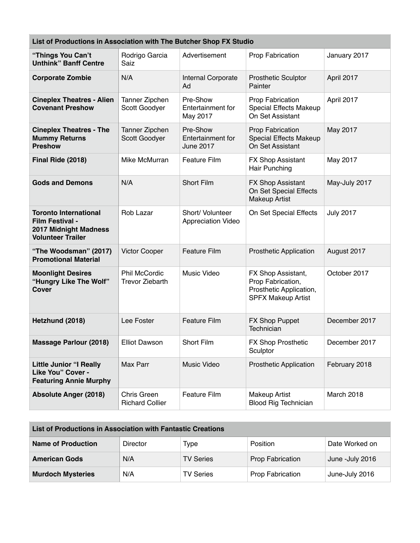| List of Productions in Association with The Butcher Shop FX Studio                                          |                                         |                                                   |                                                                                                 |                  |  |
|-------------------------------------------------------------------------------------------------------------|-----------------------------------------|---------------------------------------------------|-------------------------------------------------------------------------------------------------|------------------|--|
| "Things You Can't<br><b>Unthink" Banff Centre</b>                                                           | Rodrigo Garcia<br>Saiz                  | Advertisement                                     | Prop Fabrication                                                                                | January 2017     |  |
| <b>Corporate Zombie</b>                                                                                     | N/A                                     | Internal Corporate<br>Ad                          | <b>Prosthetic Sculptor</b><br>Painter                                                           | April 2017       |  |
| <b>Cineplex Theatres - Alien</b><br><b>Covenant Preshow</b>                                                 | Tanner Zipchen<br>Scott Goodyer         | Pre-Show<br>Entertainment for<br>May 2017         | Prop Fabrication<br>Special Effects Makeup<br>On Set Assistant                                  | April 2017       |  |
| <b>Cineplex Theatres - The</b><br><b>Mummy Returns</b><br><b>Preshow</b>                                    | Tanner Zipchen<br>Scott Goodyer         | Pre-Show<br>Entertainment for<br><b>June 2017</b> | Prop Fabrication<br><b>Special Effects Makeup</b><br>On Set Assistant                           | May 2017         |  |
| Final Ride (2018)                                                                                           | Mike McMurran                           | Feature Film                                      | <b>FX Shop Assistant</b><br>Hair Punching                                                       | May 2017         |  |
| <b>Gods and Demons</b>                                                                                      | N/A                                     | <b>Short Film</b>                                 | FX Shop Assistant<br>On Set Special Effects<br><b>Makeup Artist</b>                             | May-July 2017    |  |
| <b>Toronto International</b><br><b>Film Festival -</b><br>2017 Midnight Madness<br><b>Volunteer Trailer</b> | Rob Lazar                               | Short/ Volunteer<br><b>Appreciation Video</b>     | On Set Special Effects                                                                          | <b>July 2017</b> |  |
| "The Woodsman" (2017)<br><b>Promotional Material</b>                                                        | Victor Cooper                           | <b>Feature Film</b>                               | <b>Prosthetic Application</b>                                                                   | August 2017      |  |
| <b>Moonlight Desires</b><br>"Hungry Like The Wolf"<br><b>Cover</b>                                          | Phil McCordic<br><b>Trevor Ziebarth</b> | Music Video                                       | FX Shop Assistant,<br>Prop Fabrication,<br>Prosthetic Application,<br><b>SPFX Makeup Artist</b> | October 2017     |  |
| Hetzhund (2018)                                                                                             | Lee Foster                              | <b>Feature Film</b>                               | FX Shop Puppet<br>Technician                                                                    | December 2017    |  |
| <b>Massage Parlour (2018)</b>                                                                               | <b>Elliot Dawson</b>                    | Short Film                                        | FX Shop Prosthetic<br>Sculptor                                                                  | December 2017    |  |
| <b>Little Junior "I Really</b><br>Like You" Cover -<br><b>Featuring Annie Murphy</b>                        | Max Parr                                | Music Video                                       | <b>Prosthetic Application</b>                                                                   | February 2018    |  |
| <b>Absolute Anger (2018)</b>                                                                                | Chris Green<br><b>Richard Collier</b>   | Feature Film                                      | <b>Makeup Artist</b><br><b>Blood Rig Technician</b>                                             | March 2018       |  |

| List of Productions in Association with Fantastic Creations |          |                  |                  |                 |  |
|-------------------------------------------------------------|----------|------------------|------------------|-----------------|--|
| <b>Name of Production</b>                                   | Director | Type             | Position         | Date Worked on  |  |
| <b>American Gods</b>                                        | N/A      | <b>TV Series</b> | Prop Fabrication | June -July 2016 |  |
| <b>Murdoch Mysteries</b>                                    | N/A      | <b>TV Series</b> | Prop Fabrication | June-July 2016  |  |